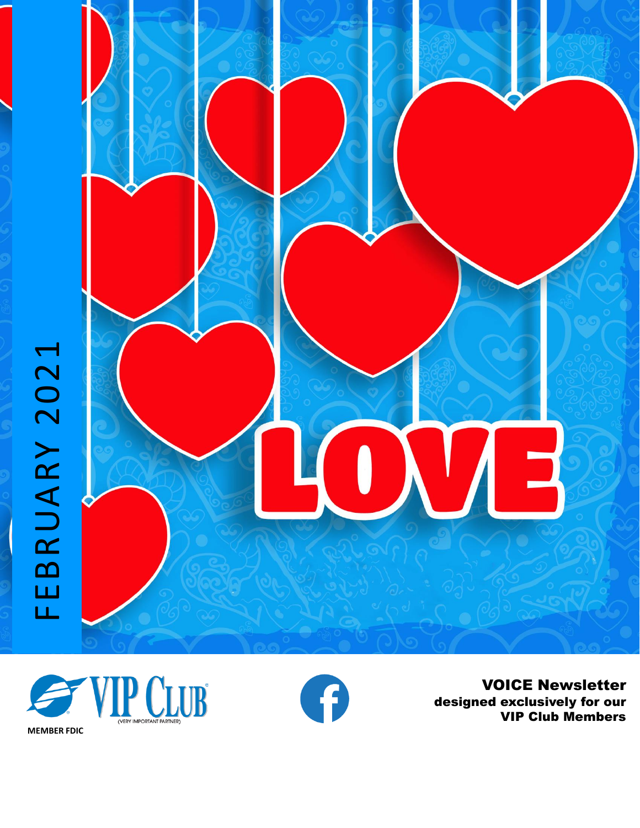





**VOICE Newsletter** designed exclusively for our VIP Club Members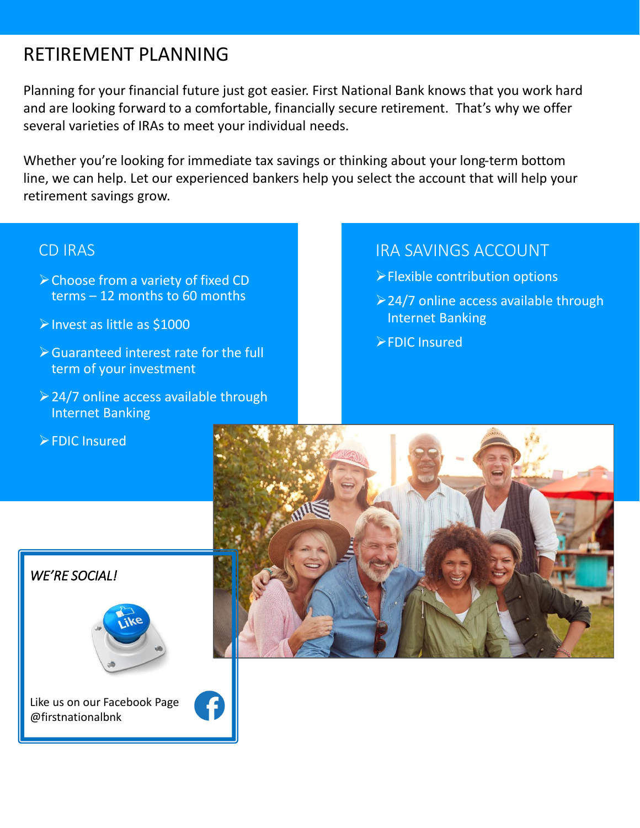# RETIREMENT PLANNING

Planning for your financial future just got easier. First National Bank knows that you work hard and are looking forward to a comfortable, financially secure retirement. That's why we offer several varieties of IRAs to meet your individual needs.

Whether you're looking for immediate tax savings or thinking about your long-term bottom line, we can help. Let our experienced bankers help you select the account that will help your retirement savings grow.

### CD IRAS

- ➢Choose from a variety of fixed CD terms – 12 months to 60 months
- ➢Invest as little as \$1000
- ➢Guaranteed interest rate for the full term of your investment
- ➢24/7 online access available through Internet Banking
- ➢FDIC Insured

## IRA SAVINGS ACCOUNT

- ➢Flexible contribution options
- ➢24/7 online access available through Internet Banking
- ➢FDIC Insured



*WE'RE SOCIAL!*



Like us on our Facebook Page @firstnationalbnk

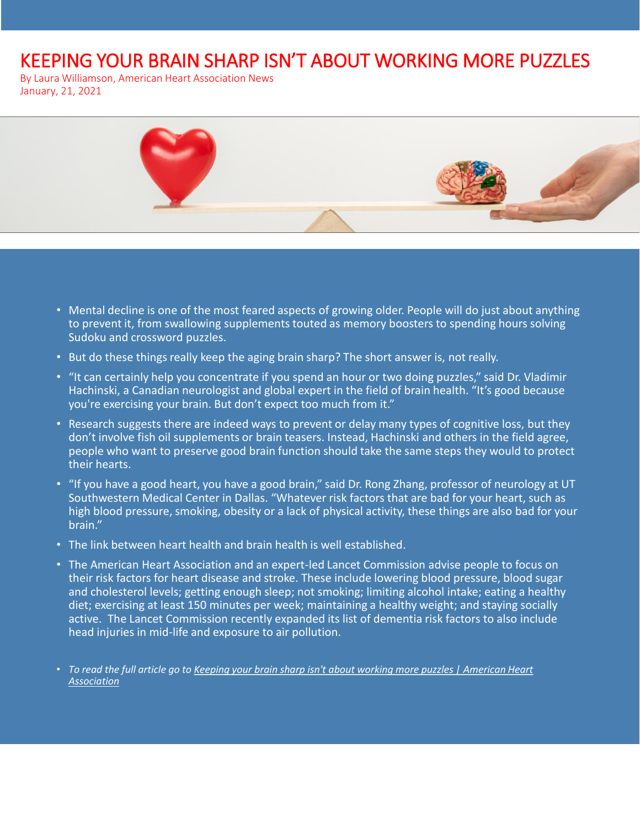# KEEPING YOUR BRAIN SHARP ISN'T ABOUT WORKING MORE PUZZLES

By Laura Williamson, American Heart Association News January, 21, 2021



- Mental decline is one of the most feared aspects of growing older. People will do just about anything to prevent it, from swallowing supplements touted as memory boosters to spending hours solving Sudoku and crossword puzzles.
- But do these things really keep the aging brain sharp? The short answer is, not really.
- "It can certainly help you concentrate if you spend an hour or two doing puzzles," said Dr. Vladimir Hachinski, a Canadian neurologist and global expert in the field of brain health. "It's good because you're exercising your brain. But don't expect too much from it."
- Research suggests there are indeed ways to prevent or delay many types of cognitive loss, but they don't involve fish oil supplements or brain teasers. Instead, Hachinski and others in the field agree, people who want to preserve good brain function should take the same steps they would to protect their hearts.
- "If you have a good heart, you have a good brain," said Dr. Rong Zhang, professor of neurology at UT Southwestern Medical Center in Dallas. "Whatever risk factors that are bad for your heart, such as high blood pressure, smoking, obesity or a lack of physical activity, these things are also bad for your brain."
- The link between heart health and brain health is well established.
- The American Heart Association and an expert-led Lancet Commission advise people to focus on their risk factors for heart disease and stroke. These include lowering blood pressure, blood sugar and cholesterol levels; getting enough sleep; not smoking; limiting alcohol intake; eating a healthy diet; exercising at least 150 minutes per week; maintaining a healthy weight; and staying socially active. The Lancet Commission recently expanded its list of dementia risk factors to also include head injuries in mid-life and exposure to air pollution.

• *[To read the full article go to Keeping your brain sharp isn't about working more puzzles | American Heart](https://www.heart.org/en/news/2021/01/21/keeping-your-brain-sharp-isnt-about-working-more-puzzles)  Association*